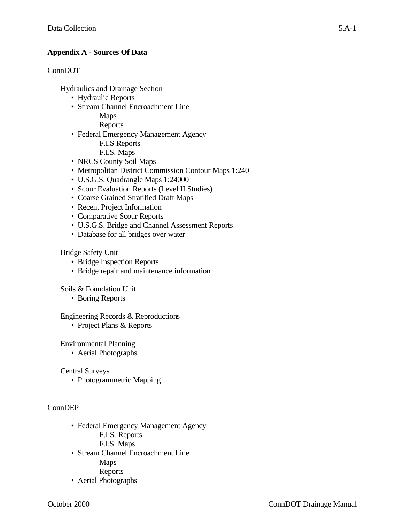# **Appendix A - Sources Of Data**

### ConnDOT

Hydraulics and Drainage Section

- Hydraulic Reports
- Stream Channel Encroachment Line
	- Maps

Reports

• Federal Emergency Management Agency

F.I.S Reports

- F.I.S. Maps
- NRCS County Soil Maps
- Metropolitan District Commission Contour Maps 1:240
- U.S.G.S. Quadrangle Maps 1:24000
- Scour Evaluation Reports (Level II Studies)
- Coarse Grained Stratified Draft Maps
- Recent Project Information
- Comparative Scour Reports
- U.S.G.S. Bridge and Channel Assessment Reports
- Database for all bridges over water

### Bridge Safety Unit

- Bridge Inspection Reports
- Bridge repair and maintenance information

Soils & Foundation Unit

• Boring Reports

#### Engineering Records & Reproductions

• Project Plans & Reports

### Environmental Planning

• Aerial Photographs

Central Surveys

• Photogrammetric Mapping

### ConnDEP

- Federal Emergency Management Agency
	- F.I.S. Reports
	- F.I.S. Maps
- Stream Channel Encroachment Line
	- Maps
	- Reports
- Aerial Photographs